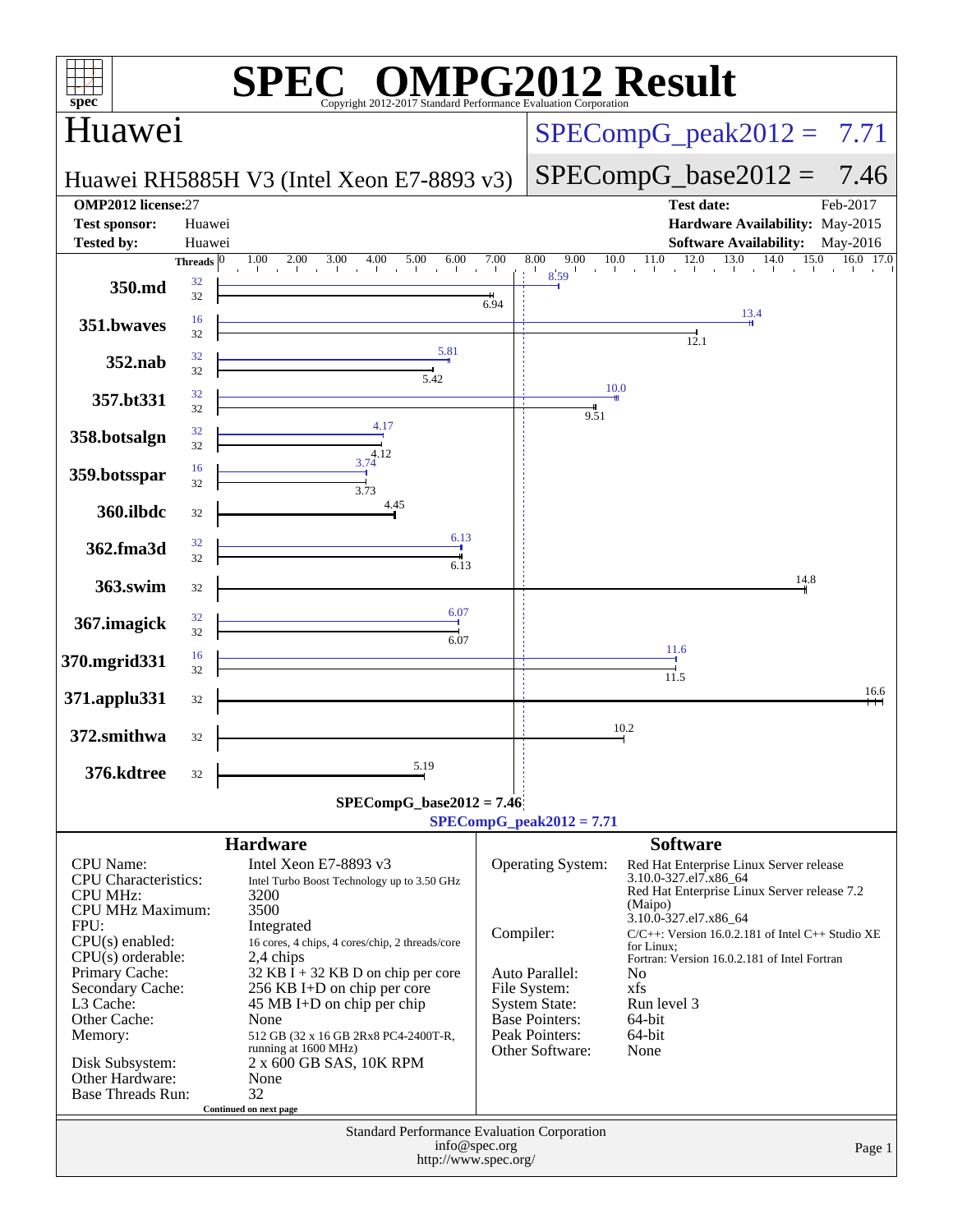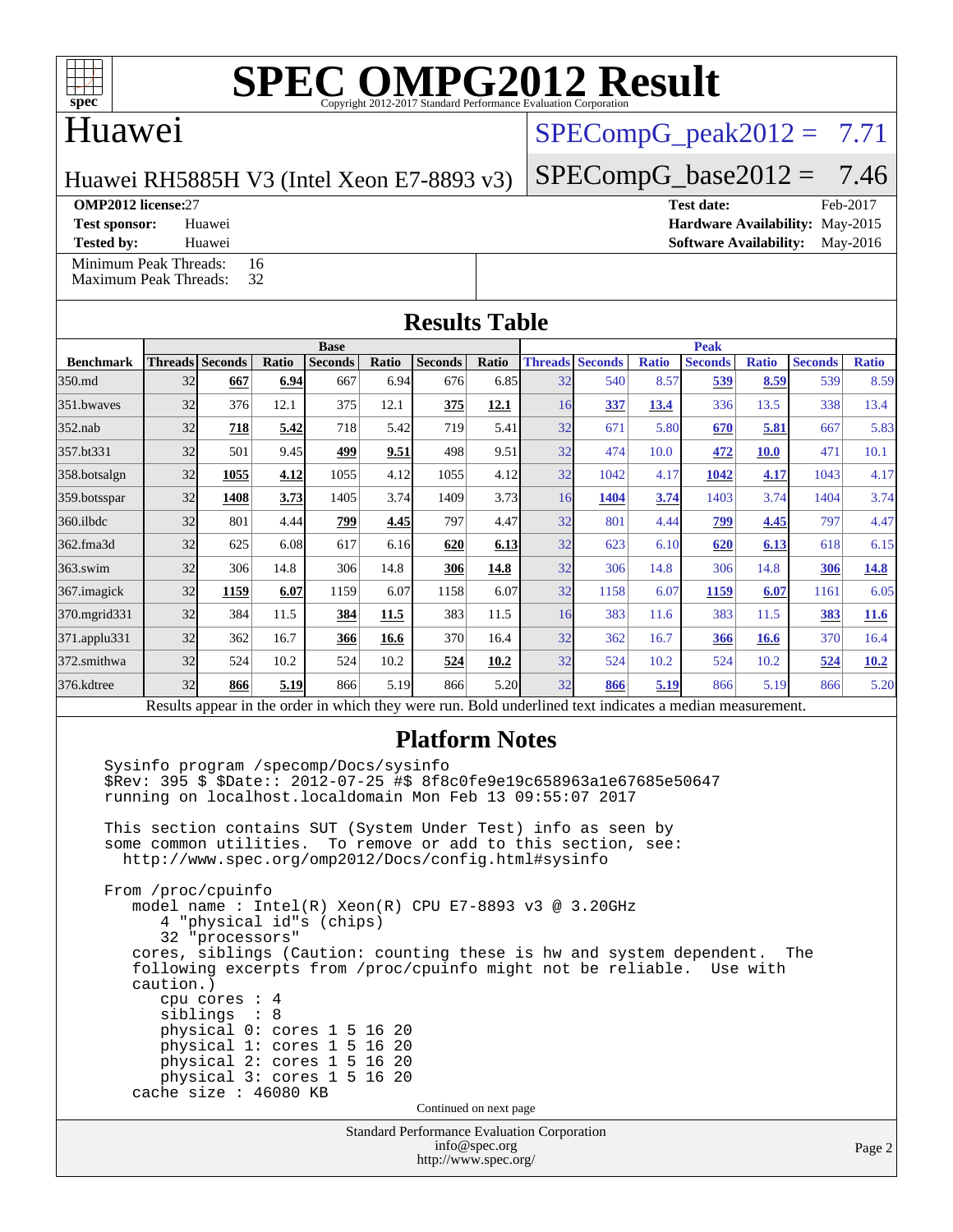

## Huawei

## $SPECompG<sub>peak2012</sub> = 7.71$

 $SPECompG_base2012 = 7.46$  $SPECompG_base2012 = 7.46$ 

### Huawei RH5885H V3 (Intel Xeon E7-8893 v3)

**[Tested by:](http://www.spec.org/auto/omp2012/Docs/result-fields.html#Testedby)** Huawei **[Software Availability:](http://www.spec.org/auto/omp2012/Docs/result-fields.html#SoftwareAvailability)** May-2016 [Minimum Peak Threads:](http://www.spec.org/auto/omp2012/Docs/result-fields.html#MinimumPeakThreads) 16<br>Maximum Peak Threads: 32

[Maximum Peak Threads:](http://www.spec.org/auto/omp2012/Docs/result-fields.html#MaximumPeakThreads)

**[OMP2012 license:](http://www.spec.org/auto/omp2012/Docs/result-fields.html#OMP2012license)**27 **[Test date:](http://www.spec.org/auto/omp2012/Docs/result-fields.html#Testdate)** Feb-2017 **[Test sponsor:](http://www.spec.org/auto/omp2012/Docs/result-fields.html#Testsponsor)** Huawei **[Hardware Availability:](http://www.spec.org/auto/omp2012/Docs/result-fields.html#HardwareAvailability)** May-2015

**[Results Table](http://www.spec.org/auto/omp2012/Docs/result-fields.html#ResultsTable)**

|                    | <b>Base</b> |                        |       |                |       |                |       | <b>Peak</b> |                        |              |                                                                                                          |              |                |              |
|--------------------|-------------|------------------------|-------|----------------|-------|----------------|-------|-------------|------------------------|--------------|----------------------------------------------------------------------------------------------------------|--------------|----------------|--------------|
| <b>Benchmark</b>   |             | <b>Threads</b> Seconds | Ratio | <b>Seconds</b> | Ratio | <b>Seconds</b> | Ratio |             | <b>Threads Seconds</b> | <b>Ratio</b> | <b>Seconds</b>                                                                                           | <b>Ratio</b> | <b>Seconds</b> | <b>Ratio</b> |
| 350.md             | 32          | 667                    | 6.94  | 667            | 6.94  | 676            | 6.85  | 32          | 540                    | 8.57         | 539                                                                                                      | 8.59         | 539            | 8.59         |
| 351.bwayes         | 32          | 376                    | 12.1  | 375            | 12.1  | 375            | 12.1  | 16          | 337                    | 13.4         | 336                                                                                                      | 13.5         | 338            | 13.4         |
| $352$ .nab         | 32          | 718                    | 5.42  | 718            | 5.42  | 719            | 5.41  | 32          | 671                    | 5.80         | 670                                                                                                      | 5.81         | 667            | 5.83         |
| 357.bt331          | 32          | 501                    | 9.45  | 499            | 9.51  | 498            | 9.51  | 32          | 474                    | 10.0         | 472                                                                                                      | <b>10.0</b>  | 471            | 10.1         |
| 358.botsalgn       | 32          | 1055                   | 4.12  | 1055           | 4.12  | 1055           | 4.12  | 32          | 1042                   | 4.17         | 1042                                                                                                     | 4.17         | 1043           | 4.17         |
| 359.botsspar       | 32          | 1408                   | 3.73  | 1405           | 3.74  | 1409           | 3.73  | 16          | 1404                   | 3.74         | 1403                                                                                                     | 3.74         | 1404           | 3.74         |
| 360.ilbdc          | 32          | 801                    | 4.44  | 799            | 4.45  | 797            | 4.47  | 32          | 801                    | 4.44         | 799                                                                                                      | 4.45         | 797            | 4.47         |
| 362.fma3d          | 32          | 625                    | 6.08  | 617            | 6.16  | 620            | 6.13  | 32          | 623                    | 6.10         | 620                                                                                                      | 6.13         | 618            | 6.15         |
| $363$ .swim        | 32          | 306                    | 14.8  | 306            | 14.8  | 306            | 14.8  | 32          | 306                    | 14.8         | 306                                                                                                      | 14.8         | 306            | <u>14.8</u>  |
| 367. imagick       | 32          | 1159                   | 6.07  | 1159           | 6.07  | 1158           | 6.07  | 32          | 1158                   | 6.07         | 1159                                                                                                     | 6.07         | 1161           | 6.05         |
| 370.mgrid331       | 32          | 384                    | 11.5  | 384            | 11.5  | 383            | 11.5  | 16          | 383                    | 11.6         | 383                                                                                                      | 11.5         | 383            | 11.6         |
| $371$ .applu $331$ | 32          | 362                    | 16.7  | 366            | 16.6  | 370            | 16.4  | 32          | 362                    | 16.7         | 366                                                                                                      | 16.6         | 370            | 16.4         |
| 372.smithwa        | 32          | 524                    | 10.2  | 524            | 10.2  | 524            | 10.2  | 32          | 524                    | 10.2         | 524                                                                                                      | 10.2         | 524            | 10.2         |
| 376.kdtree         | 32          | 866                    | 5.19  | 866            | 5.19  | 866            | 5.20  | 32          | 866                    | 5.19         | 866                                                                                                      | 5.19         | 866            | 5.20         |
|                    |             |                        |       |                |       |                |       |             |                        |              | Results appear in the order in which they were run. Bold underlined text indicates a median measurement. |              |                |              |

### **[Platform Notes](http://www.spec.org/auto/omp2012/Docs/result-fields.html#PlatformNotes)**

Standard Performance Evaluation Corporation [info@spec.org](mailto:info@spec.org) Sysinfo program /specomp/Docs/sysinfo \$Rev: 395 \$ \$Date:: 2012-07-25 #\$ 8f8c0fe9e19c658963a1e67685e50647 running on localhost.localdomain Mon Feb 13 09:55:07 2017 This section contains SUT (System Under Test) info as seen by some common utilities. To remove or add to this section, see: <http://www.spec.org/omp2012/Docs/config.html#sysinfo> From /proc/cpuinfo model name : Intel(R) Xeon(R) CPU E7-8893 v3 @ 3.20GHz 4 "physical id"s (chips) 32 "processors" cores, siblings (Caution: counting these is hw and system dependent. The following excerpts from /proc/cpuinfo might not be reliable. Use with caution.) cpu cores : 4 siblings : 8 physical 0: cores 1 5 16 20 physical 1: cores 1 5 16 20 physical 2: cores 1 5 16 20 physical 3: cores 1 5 16 20 cache size : 46080 KB Continued on next page

<http://www.spec.org/>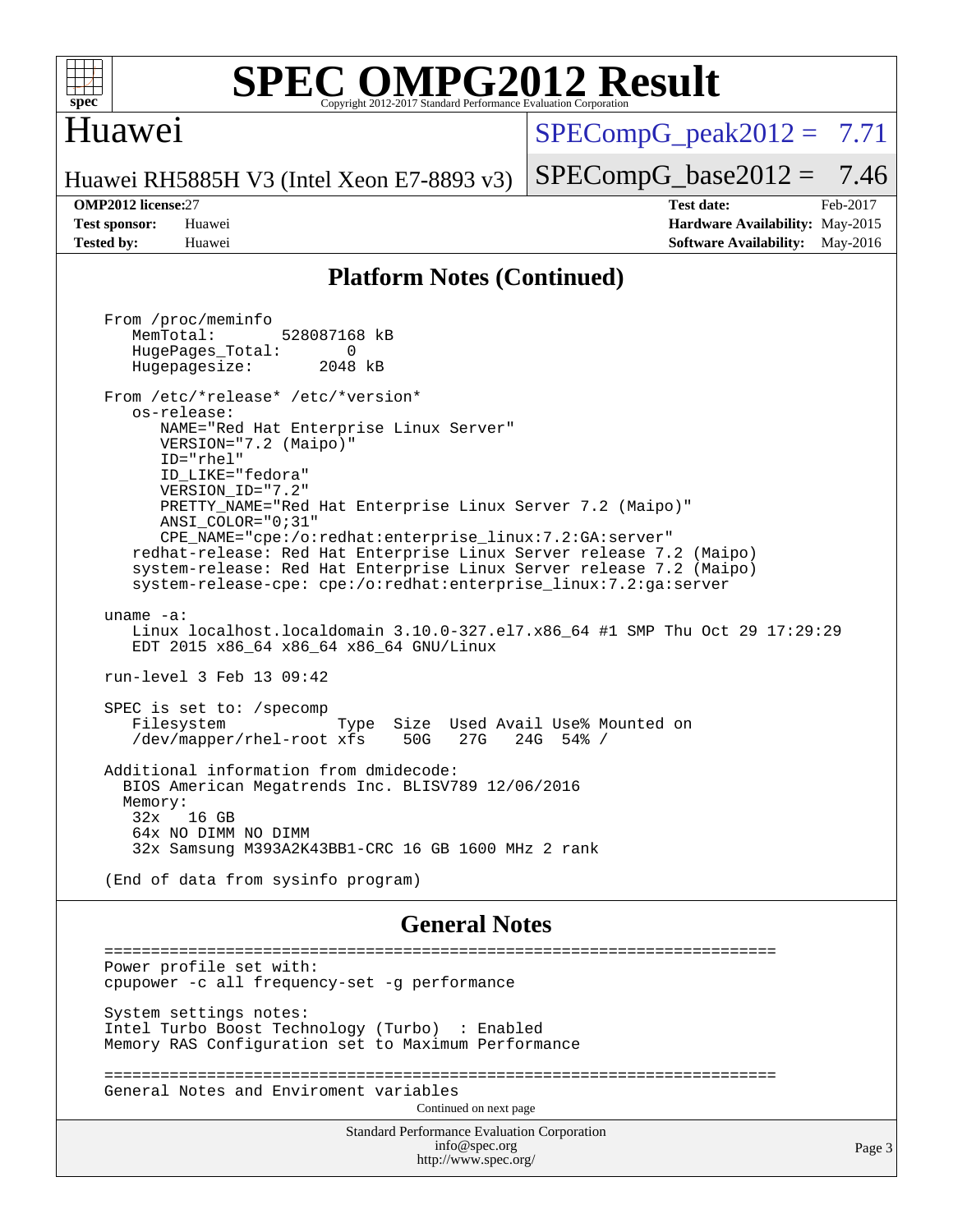

## Huawei

 $SPECompG<sub>peak2012</sub> = 7.71$ 

Huawei RH5885H V3 (Intel Xeon E7-8893 v3)

**[Tested by:](http://www.spec.org/auto/omp2012/Docs/result-fields.html#Testedby)** Huawei **[Software Availability:](http://www.spec.org/auto/omp2012/Docs/result-fields.html#SoftwareAvailability)** May-2016

 $SPECompG_base2012 = 7.46$  $SPECompG_base2012 = 7.46$ **[OMP2012 license:](http://www.spec.org/auto/omp2012/Docs/result-fields.html#OMP2012license)**27 **[Test date:](http://www.spec.org/auto/omp2012/Docs/result-fields.html#Testdate)** Feb-2017 **[Test sponsor:](http://www.spec.org/auto/omp2012/Docs/result-fields.html#Testsponsor)** Huawei **[Hardware Availability:](http://www.spec.org/auto/omp2012/Docs/result-fields.html#HardwareAvailability)** May-2015

### **[Platform Notes \(Continued\)](http://www.spec.org/auto/omp2012/Docs/result-fields.html#PlatformNotes)**

 From /proc/meminfo MemTotal: 528087168 kB HugePages\_Total: 0<br>Hugepagesize: 2048 kB Hugepagesize: From /etc/\*release\* /etc/\*version\* os-release: NAME="Red Hat Enterprise Linux Server" VERSION="7.2 (Maipo)" ID="rhel" ID\_LIKE="fedora" VERSION\_ID="7.2" PRETTY\_NAME="Red Hat Enterprise Linux Server 7.2 (Maipo)" ANSI\_COLOR="0;31" CPE\_NAME="cpe:/o:redhat:enterprise\_linux:7.2:GA:server" redhat-release: Red Hat Enterprise Linux Server release 7.2 (Maipo) system-release: Red Hat Enterprise Linux Server release 7.2 (Maipo) system-release-cpe: cpe:/o:redhat:enterprise\_linux:7.2:ga:server uname -a: Linux localhost.localdomain 3.10.0-327.el7.x86\_64 #1 SMP Thu Oct 29 17:29:29 EDT 2015 x86\_64 x86\_64 x86\_64 GNU/Linux run-level 3 Feb 13 09:42 SPEC is set to: /specomp Filesystem Type Size Used Avail Use% Mounted on<br>
/dev/mapper/rhel-root xfs 50G 27G 24G 54% /  $/$ dev/mapper/rhel-root xfs Additional information from dmidecode: BIOS American Megatrends Inc. BLISV789 12/06/2016 Memory: 32x 16 GB 64x NO DIMM NO DIMM 32x Samsung M393A2K43BB1-CRC 16 GB 1600 MHz 2 rank (End of data from sysinfo program) **[General Notes](http://www.spec.org/auto/omp2012/Docs/result-fields.html#GeneralNotes)** ======================================================================== Power profile set with: cpupower -c all frequency-set -g performance System settings notes: Intel Turbo Boost Technology (Turbo) : Enabled Memory RAS Configuration set to Maximum Performance ======================================================================== General Notes and Enviroment variables Continued on next page

> Standard Performance Evaluation Corporation [info@spec.org](mailto:info@spec.org) <http://www.spec.org/>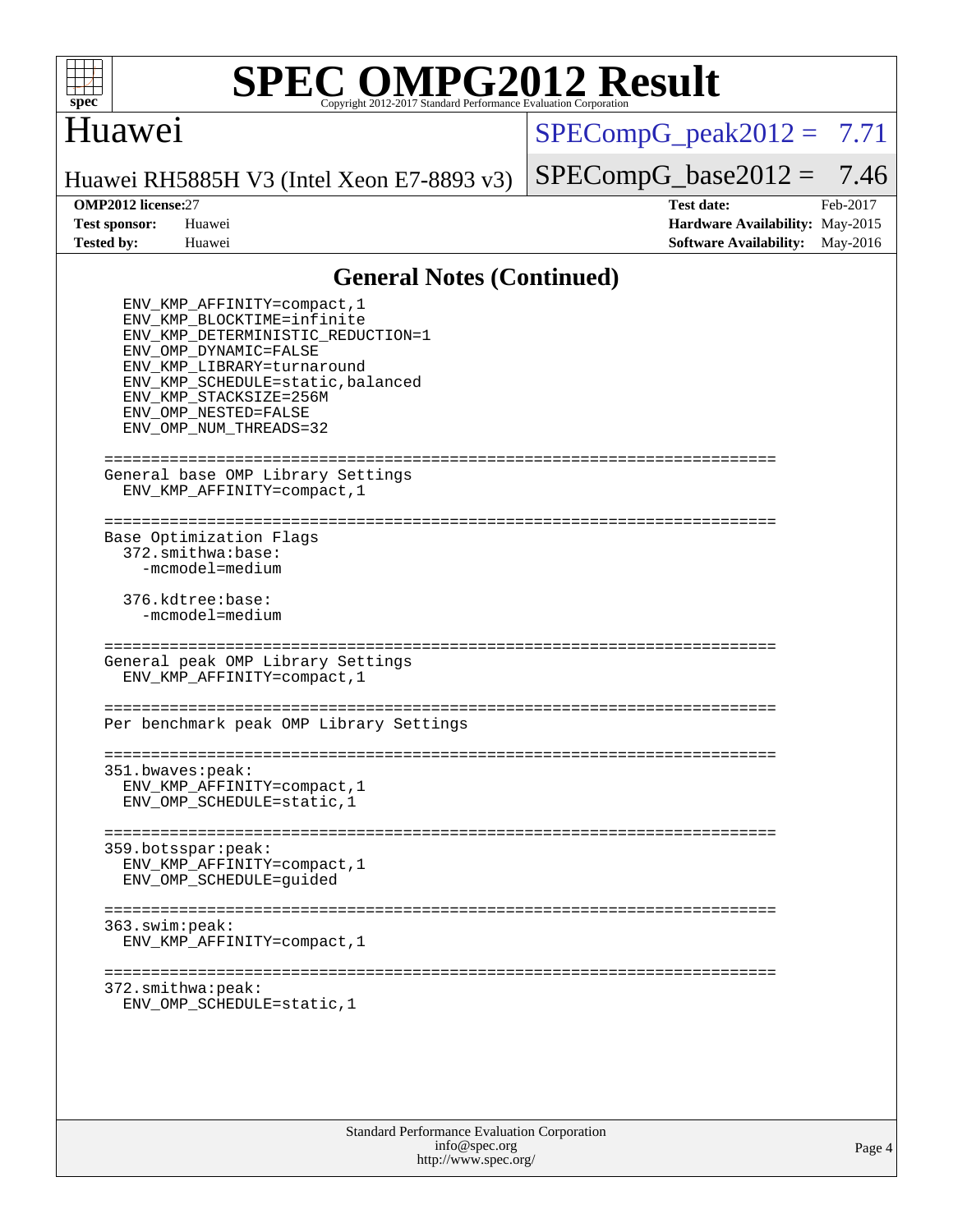

## Huawei

 $SPECompG_peak2012 = 7.71$  $SPECompG_peak2012 = 7.71$ 

Huawei RH5885H V3 (Intel Xeon E7-8893 v3)

**[Tested by:](http://www.spec.org/auto/omp2012/Docs/result-fields.html#Testedby)** Huawei **[Software Availability:](http://www.spec.org/auto/omp2012/Docs/result-fields.html#SoftwareAvailability)** May-2016

 $SPECompG_base2012 = 7.46$  $SPECompG_base2012 = 7.46$ **[OMP2012 license:](http://www.spec.org/auto/omp2012/Docs/result-fields.html#OMP2012license)**27 **[Test date:](http://www.spec.org/auto/omp2012/Docs/result-fields.html#Testdate)** Feb-2017 **[Test sponsor:](http://www.spec.org/auto/omp2012/Docs/result-fields.html#Testsponsor)** Huawei **[Hardware Availability:](http://www.spec.org/auto/omp2012/Docs/result-fields.html#HardwareAvailability)** May-2015

### **[General Notes \(Continued\)](http://www.spec.org/auto/omp2012/Docs/result-fields.html#GeneralNotes)**

| ENV_KMP_AFFINITY=compact, 1<br>ENV KMP BLOCKTIME=infinite<br>ENV_KMP_DETERMINISTIC_REDUCTION=1<br>ENV OMP DYNAMIC=FALSE<br>ENV KMP LIBRARY=turnaround<br>ENV KMP SCHEDULE=static, balanced<br>ENV KMP STACKSIZE=256M<br>ENV OMP NESTED=FALSE<br>ENV OMP NUM THREADS=32 |
|------------------------------------------------------------------------------------------------------------------------------------------------------------------------------------------------------------------------------------------------------------------------|
| General base OMP Library Settings<br>ENV_KMP_AFFINITY=compact, 1                                                                                                                                                                                                       |
| Base Optimization Flags<br>372.smithwa:base:<br>-mcmodel=medium                                                                                                                                                                                                        |
| 376.kdtree:base:<br>-mcmodel=medium                                                                                                                                                                                                                                    |
| General peak OMP Library Settings<br>ENV KMP AFFINITY=compact, 1                                                                                                                                                                                                       |
| Per benchmark peak OMP Library Settings                                                                                                                                                                                                                                |
| 351.bwaves:peak:<br>ENV KMP AFFINITY=compact, 1<br>ENV_OMP_SCHEDULE=static,1                                                                                                                                                                                           |
| 359.botsspar:peak:<br>ENV KMP AFFINITY=compact, 1<br>ENV_OMP_SCHEDULE=guided                                                                                                                                                                                           |
| 363.swin:peak:<br>ENV_KMP_AFFINITY=compact, 1                                                                                                                                                                                                                          |
| ===============<br>372.smithwa:peak:<br>ENV_OMP_SCHEDULE=static, 1                                                                                                                                                                                                     |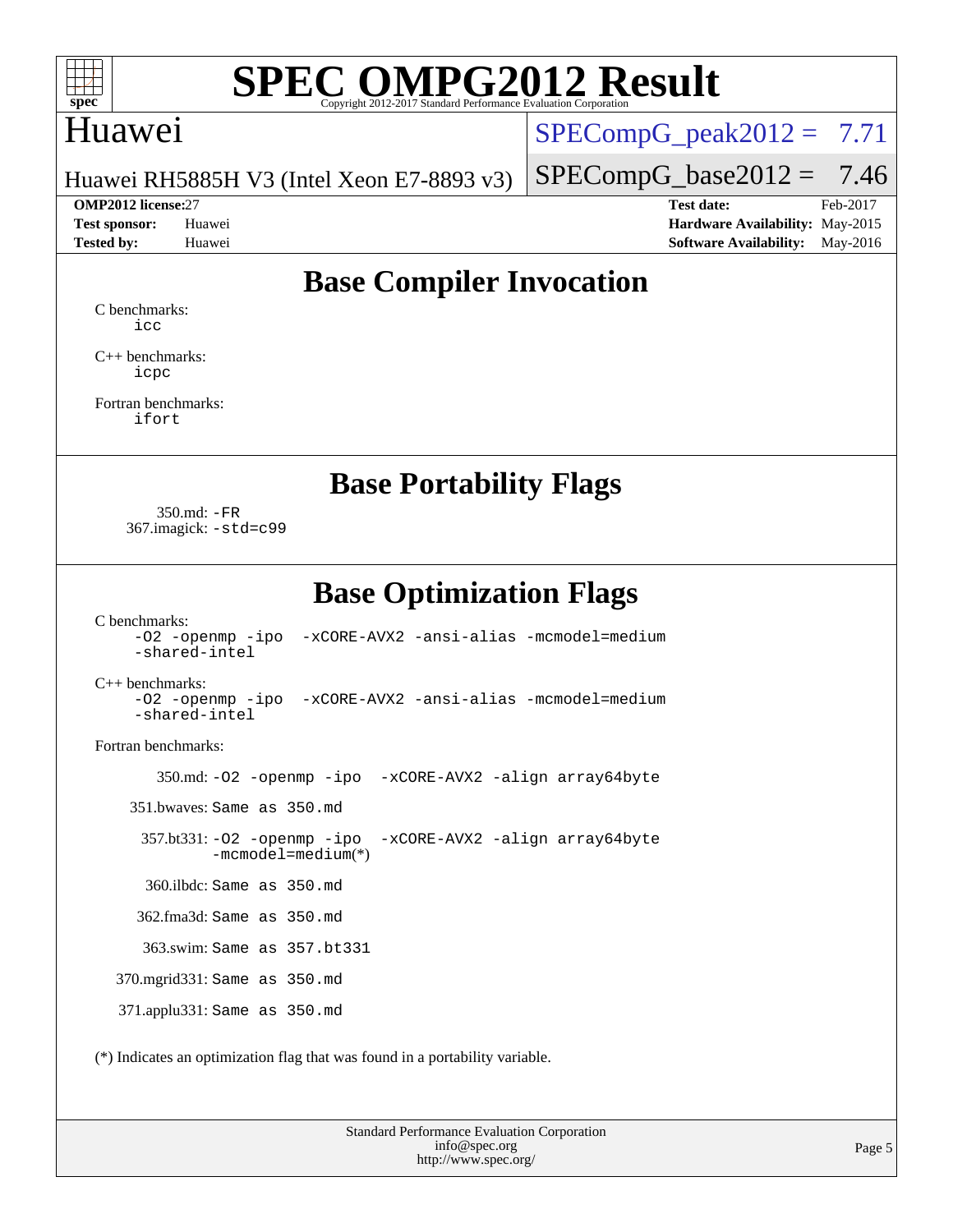

## Huawei

 $SPECompG_peak2012 = 7.71$  $SPECompG_peak2012 = 7.71$ 

Huawei RH5885H V3 (Intel Xeon E7-8893 v3)

**[Test sponsor:](http://www.spec.org/auto/omp2012/Docs/result-fields.html#Testsponsor)** Huawei **[Hardware Availability:](http://www.spec.org/auto/omp2012/Docs/result-fields.html#HardwareAvailability)** May-2015 **[Tested by:](http://www.spec.org/auto/omp2012/Docs/result-fields.html#Testedby)** Huawei **[Software Availability:](http://www.spec.org/auto/omp2012/Docs/result-fields.html#SoftwareAvailability)** May-2016

 $SPECompG_base2012 = 7.46$  $SPECompG_base2012 = 7.46$ **[OMP2012 license:](http://www.spec.org/auto/omp2012/Docs/result-fields.html#OMP2012license)**27 **[Test date:](http://www.spec.org/auto/omp2012/Docs/result-fields.html#Testdate)** Feb-2017

## **[Base Compiler Invocation](http://www.spec.org/auto/omp2012/Docs/result-fields.html#BaseCompilerInvocation)**

[C benchmarks](http://www.spec.org/auto/omp2012/Docs/result-fields.html#Cbenchmarks): [icc](http://www.spec.org/omp2012/results/res2017q1/omp2012-20170213-00094.flags.html#user_CCbase_intel_icc_a87c68a857bc5ec5362391a49d3a37a6)

[C++ benchmarks:](http://www.spec.org/auto/omp2012/Docs/result-fields.html#CXXbenchmarks) [icpc](http://www.spec.org/omp2012/results/res2017q1/omp2012-20170213-00094.flags.html#user_CXXbase_intel_icpc_2d899f8d163502b12eb4a60069f80c1c)

[Fortran benchmarks](http://www.spec.org/auto/omp2012/Docs/result-fields.html#Fortranbenchmarks): [ifort](http://www.spec.org/omp2012/results/res2017q1/omp2012-20170213-00094.flags.html#user_FCbase_intel_ifort_8a5e5e06b19a251bdeaf8fdab5d62f20)

**[Base Portability Flags](http://www.spec.org/auto/omp2012/Docs/result-fields.html#BasePortabilityFlags)**

 350.md: [-FR](http://www.spec.org/omp2012/results/res2017q1/omp2012-20170213-00094.flags.html#user_baseFPORTABILITY350_md_f-FR) 367.imagick: [-std=c99](http://www.spec.org/omp2012/results/res2017q1/omp2012-20170213-00094.flags.html#user_baseCPORTABILITY367_imagick_f-std_2ec6533b6e06f1c4a6c9b78d9e9cde24)

**[Base Optimization Flags](http://www.spec.org/auto/omp2012/Docs/result-fields.html#BaseOptimizationFlags)**

[C benchmarks](http://www.spec.org/auto/omp2012/Docs/result-fields.html#Cbenchmarks): [-O2](http://www.spec.org/omp2012/results/res2017q1/omp2012-20170213-00094.flags.html#user_CCbase_f-O2) [-openmp](http://www.spec.org/omp2012/results/res2017q1/omp2012-20170213-00094.flags.html#user_CCbase_f-openmp) [-ipo](http://www.spec.org/omp2012/results/res2017q1/omp2012-20170213-00094.flags.html#user_CCbase_f-ipo_84062ab53814f613187d02344b8f49a7) [-xCORE-AVX2](http://www.spec.org/omp2012/results/res2017q1/omp2012-20170213-00094.flags.html#user_CCbase_f-xCORE-AVX2) [-ansi-alias](http://www.spec.org/omp2012/results/res2017q1/omp2012-20170213-00094.flags.html#user_CCbase_f-ansi-alias) [-mcmodel=medium](http://www.spec.org/omp2012/results/res2017q1/omp2012-20170213-00094.flags.html#user_CCbase_f-mcmodel_3a41622424bdd074c4f0f2d2f224c7e5) [-shared-intel](http://www.spec.org/omp2012/results/res2017q1/omp2012-20170213-00094.flags.html#user_CCbase_f-shared-intel)

[C++ benchmarks:](http://www.spec.org/auto/omp2012/Docs/result-fields.html#CXXbenchmarks)

[-O2](http://www.spec.org/omp2012/results/res2017q1/omp2012-20170213-00094.flags.html#user_CXXbase_f-O2) [-openmp](http://www.spec.org/omp2012/results/res2017q1/omp2012-20170213-00094.flags.html#user_CXXbase_f-openmp) [-ipo](http://www.spec.org/omp2012/results/res2017q1/omp2012-20170213-00094.flags.html#user_CXXbase_f-ipo_84062ab53814f613187d02344b8f49a7) [-xCORE-AVX2](http://www.spec.org/omp2012/results/res2017q1/omp2012-20170213-00094.flags.html#user_CXXbase_f-xCORE-AVX2) [-ansi-alias](http://www.spec.org/omp2012/results/res2017q1/omp2012-20170213-00094.flags.html#user_CXXbase_f-ansi-alias) [-mcmodel=medium](http://www.spec.org/omp2012/results/res2017q1/omp2012-20170213-00094.flags.html#user_CXXbase_f-mcmodel_3a41622424bdd074c4f0f2d2f224c7e5) [-shared-intel](http://www.spec.org/omp2012/results/res2017q1/omp2012-20170213-00094.flags.html#user_CXXbase_f-shared-intel)

[Fortran benchmarks](http://www.spec.org/auto/omp2012/Docs/result-fields.html#Fortranbenchmarks):

350.md: [-O2](http://www.spec.org/omp2012/results/res2017q1/omp2012-20170213-00094.flags.html#user_baseOPTIMIZE350_md_f-O2) [-openmp](http://www.spec.org/omp2012/results/res2017q1/omp2012-20170213-00094.flags.html#user_baseOPTIMIZE350_md_f-openmp) [-ipo](http://www.spec.org/omp2012/results/res2017q1/omp2012-20170213-00094.flags.html#user_baseOPTIMIZE350_md_f-ipo_84062ab53814f613187d02344b8f49a7) [-xCORE-AVX2](http://www.spec.org/omp2012/results/res2017q1/omp2012-20170213-00094.flags.html#user_baseOPTIMIZE350_md_f-xCORE-AVX2) [-align array64byte](http://www.spec.org/omp2012/results/res2017q1/omp2012-20170213-00094.flags.html#user_baseFOPTIMIZE350_md_f-align_c9377f996e966d652baaf753401d4725)

351.bwaves: Same as 350.md

 357.bt331: [-O2](http://www.spec.org/omp2012/results/res2017q1/omp2012-20170213-00094.flags.html#user_baseOPTIMIZE357_bt331_f-O2) [-openmp](http://www.spec.org/omp2012/results/res2017q1/omp2012-20170213-00094.flags.html#user_baseOPTIMIZE357_bt331_f-openmp) [-ipo](http://www.spec.org/omp2012/results/res2017q1/omp2012-20170213-00094.flags.html#user_baseOPTIMIZE357_bt331_f-ipo_84062ab53814f613187d02344b8f49a7) [-xCORE-AVX2](http://www.spec.org/omp2012/results/res2017q1/omp2012-20170213-00094.flags.html#user_baseOPTIMIZE357_bt331_f-xCORE-AVX2) [-align array64byte](http://www.spec.org/omp2012/results/res2017q1/omp2012-20170213-00094.flags.html#user_baseFOPTIMIZE357_bt331_f-align_c9377f996e966d652baaf753401d4725) [-mcmodel=medium](http://www.spec.org/omp2012/results/res2017q1/omp2012-20170213-00094.flags.html#user_basePORTABILITY357_bt331_f-mcmodel_3a41622424bdd074c4f0f2d2f224c7e5)(\*)

360.ilbdc: Same as 350.md

362.fma3d: Same as 350.md

363.swim: Same as 357.bt331

370.mgrid331: Same as 350.md

371.applu331: Same as 350.md

(\*) Indicates an optimization flag that was found in a portability variable.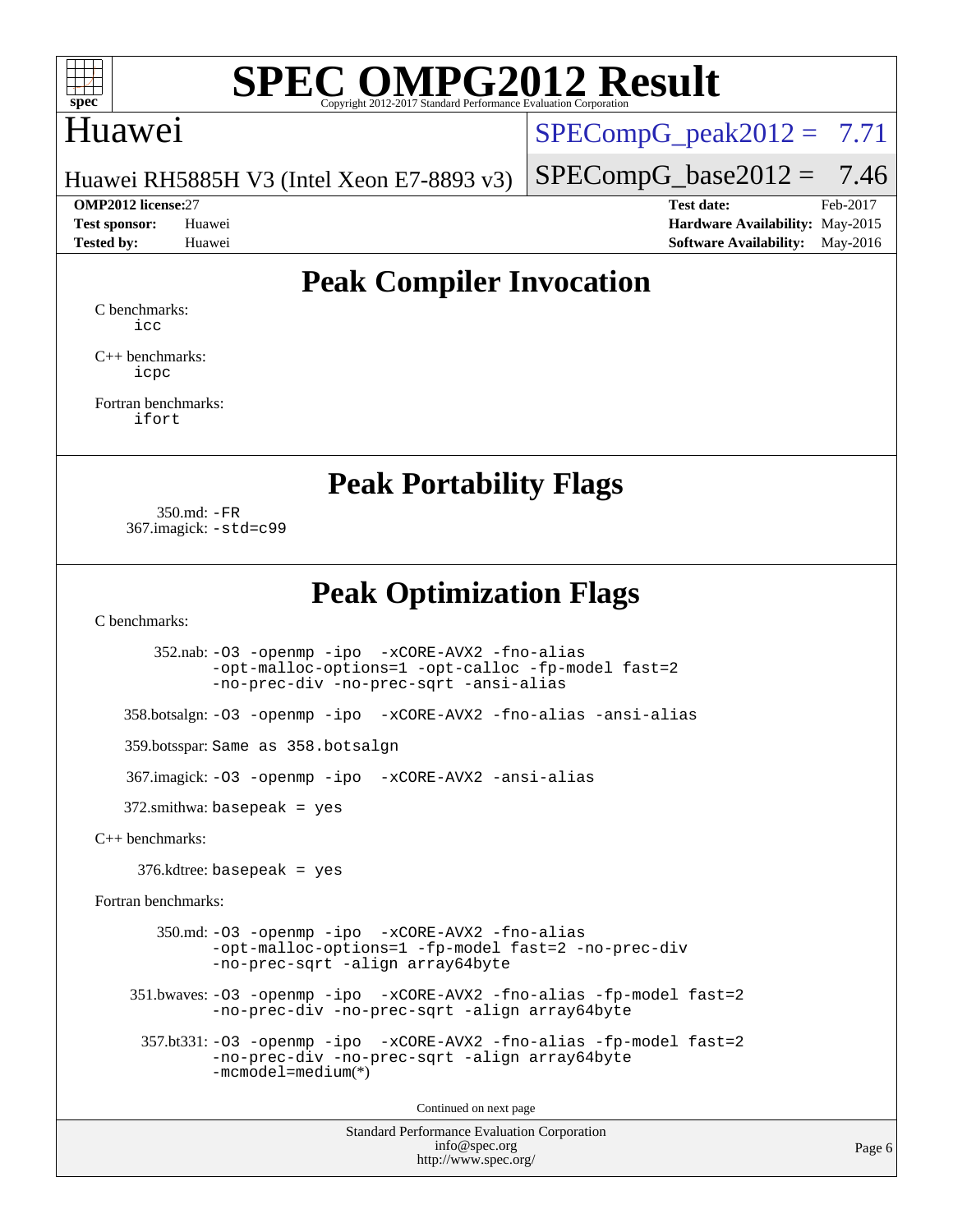

## Huawei

 $SPECompG<sub>peak2012</sub> = 7.71$ 

Huawei RH5885H V3 (Intel Xeon E7-8893 v3)

**[Tested by:](http://www.spec.org/auto/omp2012/Docs/result-fields.html#Testedby)** Huawei **[Software Availability:](http://www.spec.org/auto/omp2012/Docs/result-fields.html#SoftwareAvailability)** May-2016

 $SPECompG_base2012 = 7.46$  $SPECompG_base2012 = 7.46$ **[OMP2012 license:](http://www.spec.org/auto/omp2012/Docs/result-fields.html#OMP2012license)**27 **[Test date:](http://www.spec.org/auto/omp2012/Docs/result-fields.html#Testdate)** Feb-2017 **[Test sponsor:](http://www.spec.org/auto/omp2012/Docs/result-fields.html#Testsponsor)** Huawei **[Hardware Availability:](http://www.spec.org/auto/omp2012/Docs/result-fields.html#HardwareAvailability)** May-2015

## **[Peak Compiler Invocation](http://www.spec.org/auto/omp2012/Docs/result-fields.html#PeakCompilerInvocation)**

[C benchmarks](http://www.spec.org/auto/omp2012/Docs/result-fields.html#Cbenchmarks): [icc](http://www.spec.org/omp2012/results/res2017q1/omp2012-20170213-00094.flags.html#user_CCpeak_intel_icc_a87c68a857bc5ec5362391a49d3a37a6)

[C++ benchmarks:](http://www.spec.org/auto/omp2012/Docs/result-fields.html#CXXbenchmarks) [icpc](http://www.spec.org/omp2012/results/res2017q1/omp2012-20170213-00094.flags.html#user_CXXpeak_intel_icpc_2d899f8d163502b12eb4a60069f80c1c)

[Fortran benchmarks](http://www.spec.org/auto/omp2012/Docs/result-fields.html#Fortranbenchmarks): [ifort](http://www.spec.org/omp2012/results/res2017q1/omp2012-20170213-00094.flags.html#user_FCpeak_intel_ifort_8a5e5e06b19a251bdeaf8fdab5d62f20)

### **[Peak Portability Flags](http://www.spec.org/auto/omp2012/Docs/result-fields.html#PeakPortabilityFlags)**

 350.md: [-FR](http://www.spec.org/omp2012/results/res2017q1/omp2012-20170213-00094.flags.html#user_peakFPORTABILITY350_md_f-FR) 367.imagick: [-std=c99](http://www.spec.org/omp2012/results/res2017q1/omp2012-20170213-00094.flags.html#user_peakCPORTABILITY367_imagick_f-std_2ec6533b6e06f1c4a6c9b78d9e9cde24)

**[Peak Optimization Flags](http://www.spec.org/auto/omp2012/Docs/result-fields.html#PeakOptimizationFlags)**

[C benchmarks](http://www.spec.org/auto/omp2012/Docs/result-fields.html#Cbenchmarks):

 352.nab: [-O3](http://www.spec.org/omp2012/results/res2017q1/omp2012-20170213-00094.flags.html#user_peakOPTIMIZE352_nab_f-O3) [-openmp](http://www.spec.org/omp2012/results/res2017q1/omp2012-20170213-00094.flags.html#user_peakOPTIMIZE352_nab_f-openmp) [-ipo](http://www.spec.org/omp2012/results/res2017q1/omp2012-20170213-00094.flags.html#user_peakOPTIMIZE352_nab_f-ipo_84062ab53814f613187d02344b8f49a7) [-xCORE-AVX2](http://www.spec.org/omp2012/results/res2017q1/omp2012-20170213-00094.flags.html#user_peakOPTIMIZE352_nab_f-xCORE-AVX2) [-fno-alias](http://www.spec.org/omp2012/results/res2017q1/omp2012-20170213-00094.flags.html#user_peakOPTIMIZE352_nab_f-no-alias_694e77f6c5a51e658e82ccff53a9e63a) [-opt-malloc-options=1](http://www.spec.org/omp2012/results/res2017q1/omp2012-20170213-00094.flags.html#user_peakOPTIMIZE352_nab_f-opt-malloc-options_d882ffc6ff87e51efe45f9a5190004b0) [-opt-calloc](http://www.spec.org/omp2012/results/res2017q1/omp2012-20170213-00094.flags.html#user_peakOPTIMIZE352_nab_f-opt-calloc) [-fp-model fast=2](http://www.spec.org/omp2012/results/res2017q1/omp2012-20170213-00094.flags.html#user_peakOPTIMIZE352_nab_f-fp-model_a7fb8ccb7275e23f0079632c153cfcab) [-no-prec-div](http://www.spec.org/omp2012/results/res2017q1/omp2012-20170213-00094.flags.html#user_peakOPTIMIZE352_nab_f-no-prec-div) [-no-prec-sqrt](http://www.spec.org/omp2012/results/res2017q1/omp2012-20170213-00094.flags.html#user_peakOPTIMIZE352_nab_f-no-prec-sqrt) [-ansi-alias](http://www.spec.org/omp2012/results/res2017q1/omp2012-20170213-00094.flags.html#user_peakCOPTIMIZE352_nab_f-ansi-alias)

358.botsalgn: [-O3](http://www.spec.org/omp2012/results/res2017q1/omp2012-20170213-00094.flags.html#user_peakOPTIMIZE358_botsalgn_f-O3) [-openmp](http://www.spec.org/omp2012/results/res2017q1/omp2012-20170213-00094.flags.html#user_peakOPTIMIZE358_botsalgn_f-openmp) [-ipo](http://www.spec.org/omp2012/results/res2017q1/omp2012-20170213-00094.flags.html#user_peakOPTIMIZE358_botsalgn_f-ipo_84062ab53814f613187d02344b8f49a7) [-xCORE-AVX2](http://www.spec.org/omp2012/results/res2017q1/omp2012-20170213-00094.flags.html#user_peakOPTIMIZE358_botsalgn_f-xCORE-AVX2) [-fno-alias](http://www.spec.org/omp2012/results/res2017q1/omp2012-20170213-00094.flags.html#user_peakOPTIMIZE358_botsalgn_f-no-alias_694e77f6c5a51e658e82ccff53a9e63a) [-ansi-alias](http://www.spec.org/omp2012/results/res2017q1/omp2012-20170213-00094.flags.html#user_peakCOPTIMIZE358_botsalgn_f-ansi-alias)

359.botsspar: Same as 358.botsalgn

367.imagick: [-O3](http://www.spec.org/omp2012/results/res2017q1/omp2012-20170213-00094.flags.html#user_peakOPTIMIZE367_imagick_f-O3) [-openmp](http://www.spec.org/omp2012/results/res2017q1/omp2012-20170213-00094.flags.html#user_peakOPTIMIZE367_imagick_f-openmp) [-ipo](http://www.spec.org/omp2012/results/res2017q1/omp2012-20170213-00094.flags.html#user_peakOPTIMIZE367_imagick_f-ipo_84062ab53814f613187d02344b8f49a7) [-xCORE-AVX2](http://www.spec.org/omp2012/results/res2017q1/omp2012-20170213-00094.flags.html#user_peakOPTIMIZE367_imagick_f-xCORE-AVX2) [-ansi-alias](http://www.spec.org/omp2012/results/res2017q1/omp2012-20170213-00094.flags.html#user_peakCOPTIMIZE367_imagick_f-ansi-alias)

372.smithwa: basepeak = yes

[C++ benchmarks:](http://www.spec.org/auto/omp2012/Docs/result-fields.html#CXXbenchmarks)

376.kdtree: basepeak = yes

[Fortran benchmarks](http://www.spec.org/auto/omp2012/Docs/result-fields.html#Fortranbenchmarks):

 350.md: [-O3](http://www.spec.org/omp2012/results/res2017q1/omp2012-20170213-00094.flags.html#user_peakOPTIMIZE350_md_f-O3) [-openmp](http://www.spec.org/omp2012/results/res2017q1/omp2012-20170213-00094.flags.html#user_peakOPTIMIZE350_md_f-openmp) [-ipo](http://www.spec.org/omp2012/results/res2017q1/omp2012-20170213-00094.flags.html#user_peakOPTIMIZE350_md_f-ipo_84062ab53814f613187d02344b8f49a7) [-xCORE-AVX2](http://www.spec.org/omp2012/results/res2017q1/omp2012-20170213-00094.flags.html#user_peakOPTIMIZE350_md_f-xCORE-AVX2) [-fno-alias](http://www.spec.org/omp2012/results/res2017q1/omp2012-20170213-00094.flags.html#user_peakOPTIMIZE350_md_f-no-alias_694e77f6c5a51e658e82ccff53a9e63a) [-opt-malloc-options=1](http://www.spec.org/omp2012/results/res2017q1/omp2012-20170213-00094.flags.html#user_peakOPTIMIZE350_md_f-opt-malloc-options_d882ffc6ff87e51efe45f9a5190004b0) [-fp-model fast=2](http://www.spec.org/omp2012/results/res2017q1/omp2012-20170213-00094.flags.html#user_peakFOPTIMIZE350_md_f-fp-model_a7fb8ccb7275e23f0079632c153cfcab) [-no-prec-div](http://www.spec.org/omp2012/results/res2017q1/omp2012-20170213-00094.flags.html#user_peakFOPTIMIZE350_md_f-no-prec-div) [-no-prec-sqrt](http://www.spec.org/omp2012/results/res2017q1/omp2012-20170213-00094.flags.html#user_peakFOPTIMIZE350_md_f-no-prec-sqrt) [-align array64byte](http://www.spec.org/omp2012/results/res2017q1/omp2012-20170213-00094.flags.html#user_peakFOPTIMIZE350_md_f-align_c9377f996e966d652baaf753401d4725)

 351.bwaves: [-O3](http://www.spec.org/omp2012/results/res2017q1/omp2012-20170213-00094.flags.html#user_peakOPTIMIZE351_bwaves_f-O3) [-openmp](http://www.spec.org/omp2012/results/res2017q1/omp2012-20170213-00094.flags.html#user_peakOPTIMIZE351_bwaves_f-openmp) [-ipo](http://www.spec.org/omp2012/results/res2017q1/omp2012-20170213-00094.flags.html#user_peakOPTIMIZE351_bwaves_f-ipo_84062ab53814f613187d02344b8f49a7) [-xCORE-AVX2](http://www.spec.org/omp2012/results/res2017q1/omp2012-20170213-00094.flags.html#user_peakOPTIMIZE351_bwaves_f-xCORE-AVX2) [-fno-alias](http://www.spec.org/omp2012/results/res2017q1/omp2012-20170213-00094.flags.html#user_peakOPTIMIZE351_bwaves_f-no-alias_694e77f6c5a51e658e82ccff53a9e63a) [-fp-model fast=2](http://www.spec.org/omp2012/results/res2017q1/omp2012-20170213-00094.flags.html#user_peakFOPTIMIZE351_bwaves_f-fp-model_a7fb8ccb7275e23f0079632c153cfcab) [-no-prec-div](http://www.spec.org/omp2012/results/res2017q1/omp2012-20170213-00094.flags.html#user_peakFOPTIMIZE351_bwaves_f-no-prec-div) [-no-prec-sqrt](http://www.spec.org/omp2012/results/res2017q1/omp2012-20170213-00094.flags.html#user_peakFOPTIMIZE351_bwaves_f-no-prec-sqrt) [-align array64byte](http://www.spec.org/omp2012/results/res2017q1/omp2012-20170213-00094.flags.html#user_peakFOPTIMIZE351_bwaves_f-align_c9377f996e966d652baaf753401d4725)

 357.bt331: [-O3](http://www.spec.org/omp2012/results/res2017q1/omp2012-20170213-00094.flags.html#user_peakOPTIMIZE357_bt331_f-O3) [-openmp](http://www.spec.org/omp2012/results/res2017q1/omp2012-20170213-00094.flags.html#user_peakOPTIMIZE357_bt331_f-openmp) [-ipo](http://www.spec.org/omp2012/results/res2017q1/omp2012-20170213-00094.flags.html#user_peakOPTIMIZE357_bt331_f-ipo_84062ab53814f613187d02344b8f49a7) [-xCORE-AVX2](http://www.spec.org/omp2012/results/res2017q1/omp2012-20170213-00094.flags.html#user_peakOPTIMIZE357_bt331_f-xCORE-AVX2) [-fno-alias](http://www.spec.org/omp2012/results/res2017q1/omp2012-20170213-00094.flags.html#user_peakOPTIMIZE357_bt331_f-no-alias_694e77f6c5a51e658e82ccff53a9e63a) [-fp-model fast=2](http://www.spec.org/omp2012/results/res2017q1/omp2012-20170213-00094.flags.html#user_peakFOPTIMIZE357_bt331_f-fp-model_a7fb8ccb7275e23f0079632c153cfcab) [-no-prec-div](http://www.spec.org/omp2012/results/res2017q1/omp2012-20170213-00094.flags.html#user_peakFOPTIMIZE357_bt331_f-no-prec-div) [-no-prec-sqrt](http://www.spec.org/omp2012/results/res2017q1/omp2012-20170213-00094.flags.html#user_peakFOPTIMIZE357_bt331_f-no-prec-sqrt) [-align array64byte](http://www.spec.org/omp2012/results/res2017q1/omp2012-20170213-00094.flags.html#user_peakFOPTIMIZE357_bt331_f-align_c9377f996e966d652baaf753401d4725) [-mcmodel=medium](http://www.spec.org/omp2012/results/res2017q1/omp2012-20170213-00094.flags.html#user_peakPORTABILITY357_bt331_f-mcmodel_3a41622424bdd074c4f0f2d2f224c7e5)(\*)

Continued on next page

Standard Performance Evaluation Corporation [info@spec.org](mailto:info@spec.org) <http://www.spec.org/>